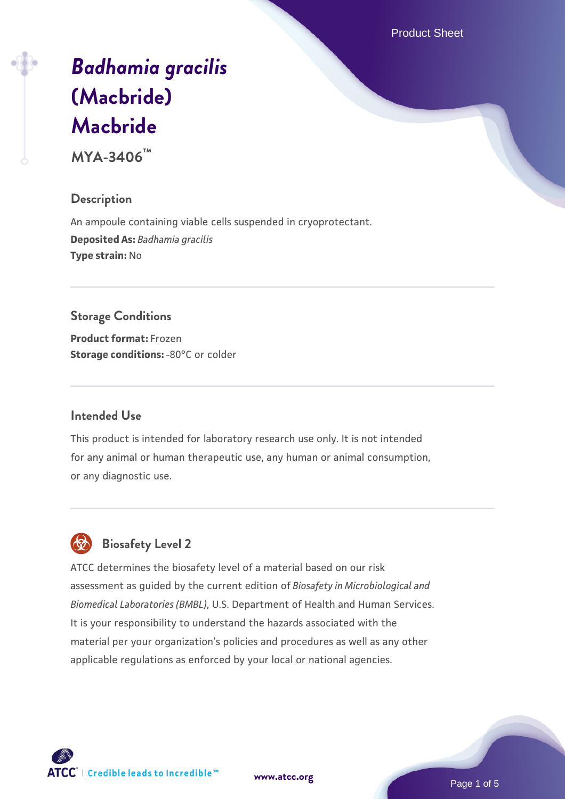Product Sheet

# *[Badhamia gracilis](https://www.atcc.org/products/mya-3406)* **[\(Macbride\)](https://www.atcc.org/products/mya-3406) [Macbride](https://www.atcc.org/products/mya-3406)**

**MYA-3406™**

# **Description**

An ampoule containing viable cells suspended in cryoprotectant. **Deposited As:** *Badhamia gracilis* **Type strain:** No

#### **Storage Conditions**

**Product format:** Frozen **Storage conditions: -80°C or colder** 

#### **Intended Use**

This product is intended for laboratory research use only. It is not intended for any animal or human therapeutic use, any human or animal consumption, or any diagnostic use.

# **Biosafety Level 2**

ATCC determines the biosafety level of a material based on our risk assessment as guided by the current edition of *Biosafety in Microbiological and Biomedical Laboratories (BMBL)*, U.S. Department of Health and Human Services. It is your responsibility to understand the hazards associated with the material per your organization's policies and procedures as well as any other applicable regulations as enforced by your local or national agencies.

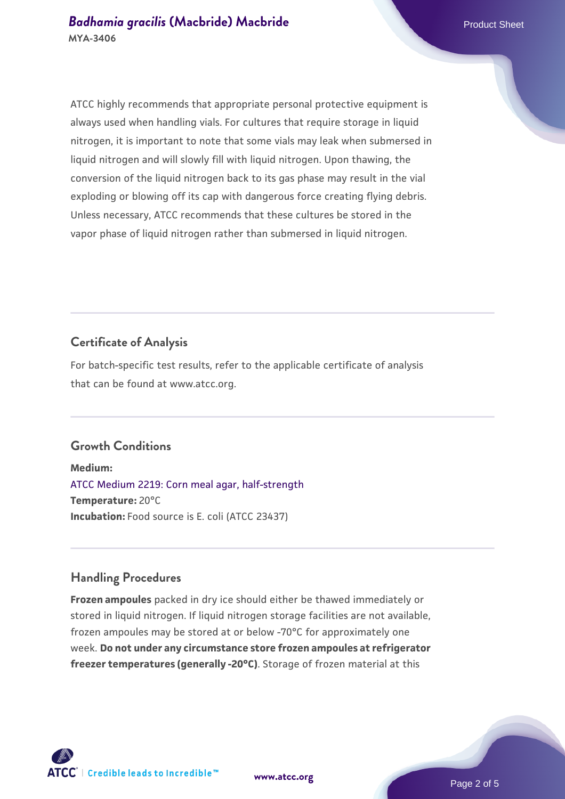ATCC highly recommends that appropriate personal protective equipment is always used when handling vials. For cultures that require storage in liquid nitrogen, it is important to note that some vials may leak when submersed in liquid nitrogen and will slowly fill with liquid nitrogen. Upon thawing, the conversion of the liquid nitrogen back to its gas phase may result in the vial exploding or blowing off its cap with dangerous force creating flying debris. Unless necessary, ATCC recommends that these cultures be stored in the vapor phase of liquid nitrogen rather than submersed in liquid nitrogen.

#### **Certificate of Analysis**

For batch-specific test results, refer to the applicable certificate of analysis that can be found at www.atcc.org.

# **Growth Conditions**

**Medium:**  [ATCC Medium 2219: Corn meal agar, half-strength](https://www.atcc.org/-/media/product-assets/documents/microbial-media-formulations/2/2/1/9/atcc-medium-2219.pdf?rev=56941740a8e44ef5b0ad065230bb5acc) **Temperature:** 20°C **Incubation:** Food source is E. coli (ATCC 23437)

#### **Handling Procedures**

**Frozen ampoules** packed in dry ice should either be thawed immediately or stored in liquid nitrogen. If liquid nitrogen storage facilities are not available, frozen ampoules may be stored at or below -70°C for approximately one week. **Do not under any circumstance store frozen ampoules at refrigerator freezer temperatures (generally -20°C)**. Storage of frozen material at this

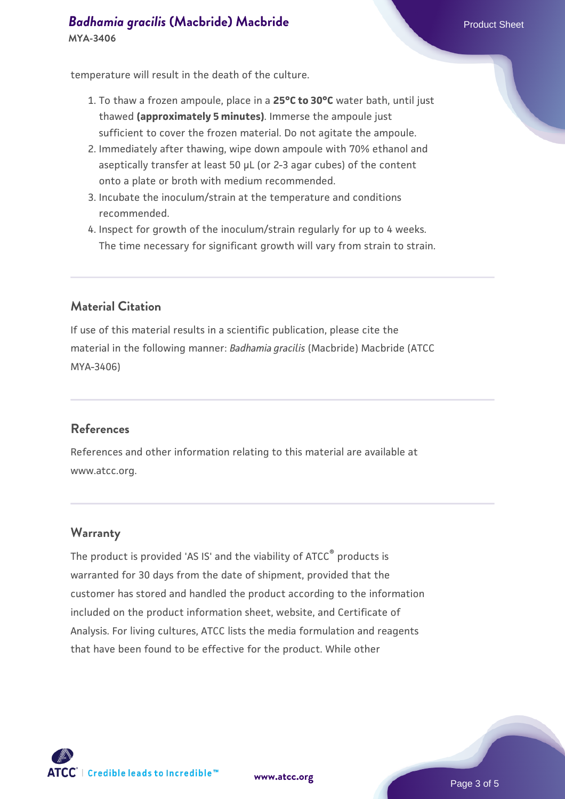**[Badhamia gracilis](https://www.atcc.org/products/mya-3406) [\(Macbride\) Macbride](https://www.atcc.org/products/mya-3406) Product Sheet** Product Sheet **MYA-3406**

temperature will result in the death of the culture.

- 1. To thaw a frozen ampoule, place in a **25°C to 30°C** water bath, until just thawed **(approximately 5 minutes)**. Immerse the ampoule just sufficient to cover the frozen material. Do not agitate the ampoule.
- 2. Immediately after thawing, wipe down ampoule with 70% ethanol and aseptically transfer at least 50 µL (or 2-3 agar cubes) of the content onto a plate or broth with medium recommended.
- 3. Incubate the inoculum/strain at the temperature and conditions recommended.
- 4. Inspect for growth of the inoculum/strain regularly for up to 4 weeks. The time necessary for significant growth will vary from strain to strain.

# **Material Citation**

If use of this material results in a scientific publication, please cite the material in the following manner: *Badhamia gracilis* (Macbride) Macbride (ATCC MYA-3406)

#### **References**

References and other information relating to this material are available at www.atcc.org.

#### **Warranty**

The product is provided 'AS IS' and the viability of ATCC<sup>®</sup> products is warranted for 30 days from the date of shipment, provided that the customer has stored and handled the product according to the information included on the product information sheet, website, and Certificate of Analysis. For living cultures, ATCC lists the media formulation and reagents that have been found to be effective for the product. While other



**[www.atcc.org](http://www.atcc.org)**

Page 3 of 5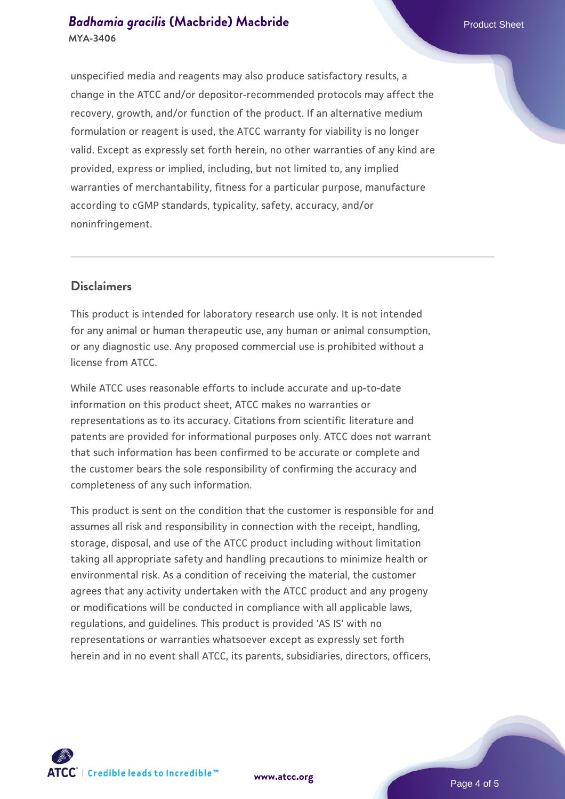#### **[Badhamia gracilis](https://www.atcc.org/products/mya-3406) [\(Macbride\) Macbride](https://www.atcc.org/products/mya-3406)** Product Sheet **MYA-3406**

unspecified media and reagents may also produce satisfactory results, a change in the ATCC and/or depositor-recommended protocols may affect the recovery, growth, and/or function of the product. If an alternative medium formulation or reagent is used, the ATCC warranty for viability is no longer valid. Except as expressly set forth herein, no other warranties of any kind are provided, express or implied, including, but not limited to, any implied warranties of merchantability, fitness for a particular purpose, manufacture according to cGMP standards, typicality, safety, accuracy, and/or noninfringement.

#### **Disclaimers**

This product is intended for laboratory research use only. It is not intended for any animal or human therapeutic use, any human or animal consumption, or any diagnostic use. Any proposed commercial use is prohibited without a license from ATCC.

While ATCC uses reasonable efforts to include accurate and up-to-date information on this product sheet, ATCC makes no warranties or representations as to its accuracy. Citations from scientific literature and patents are provided for informational purposes only. ATCC does not warrant that such information has been confirmed to be accurate or complete and the customer bears the sole responsibility of confirming the accuracy and completeness of any such information.

This product is sent on the condition that the customer is responsible for and assumes all risk and responsibility in connection with the receipt, handling, storage, disposal, and use of the ATCC product including without limitation taking all appropriate safety and handling precautions to minimize health or environmental risk. As a condition of receiving the material, the customer agrees that any activity undertaken with the ATCC product and any progeny or modifications will be conducted in compliance with all applicable laws, regulations, and guidelines. This product is provided 'AS IS' with no representations or warranties whatsoever except as expressly set forth herein and in no event shall ATCC, its parents, subsidiaries, directors, officers,